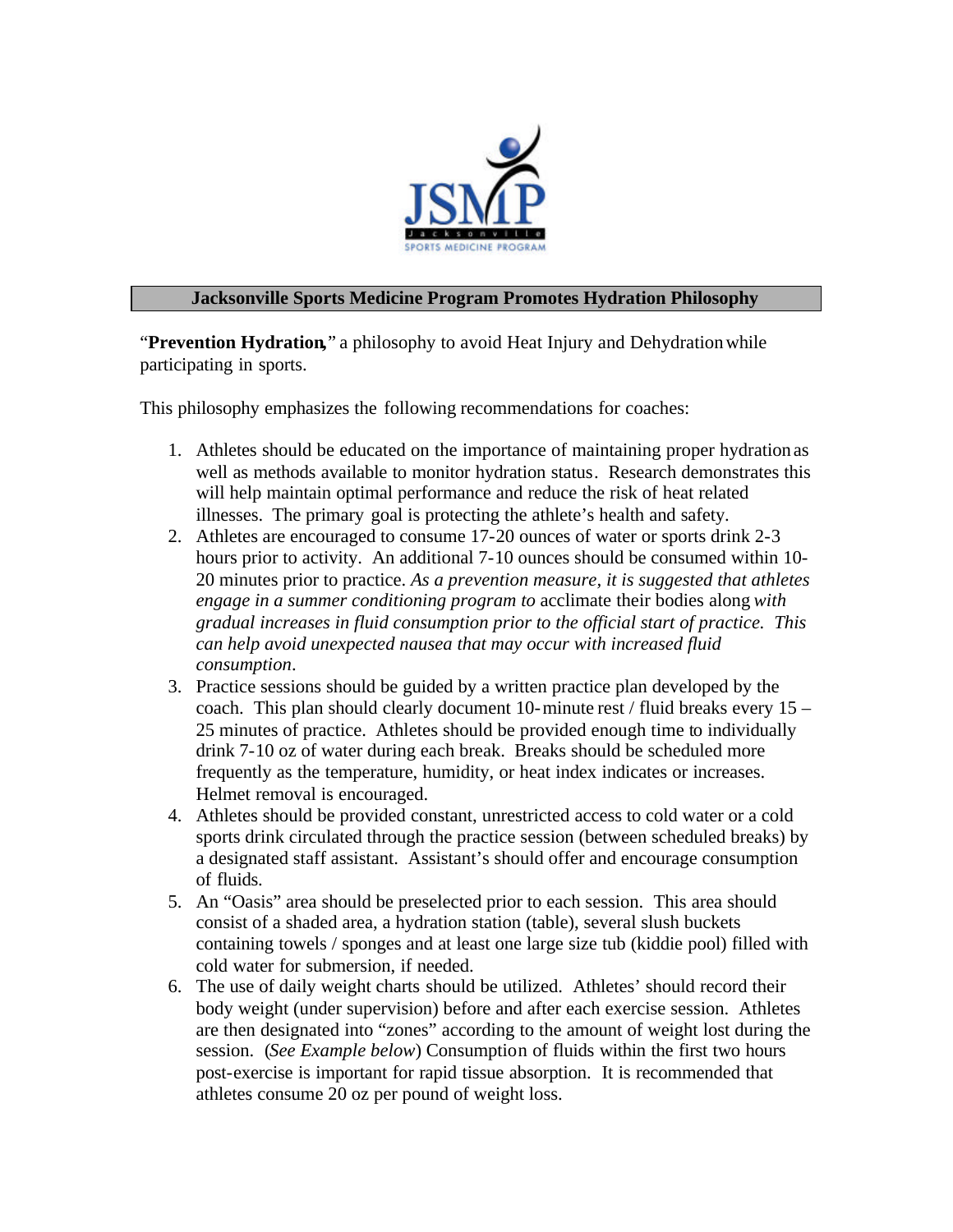

## **Jacksonville Sports Medicine Program Promotes Hydration Philosophy**

"**Prevention Hydration,**" a philosophy to avoid Heat Injury and Dehydration while participating in sports.

This philosophy emphasizes the following recommendations for coaches:

- 1. Athletes should be educated on the importance of maintaining proper hydration as well as methods available to monitor hydration status. Research demonstrates this will help maintain optimal performance and reduce the risk of heat related illnesses. The primary goal is protecting the athlete's health and safety.
- 2. Athletes are encouraged to consume 17-20 ounces of water or sports drink 2-3 hours prior to activity. An additional 7-10 ounces should be consumed within 10- 20 minutes prior to practice. *As a prevention measure, it is suggested that athletes engage in a summer conditioning program to* acclimate their bodies along *with gradual increases in fluid consumption prior to the official start of practice. This can help avoid unexpected nausea that may occur with increased fluid consumption*.
- 3. Practice sessions should be guided by a written practice plan developed by the coach. This plan should clearly document 10-minute rest / fluid breaks every 15 – 25 minutes of practice. Athletes should be provided enough time to individually drink 7-10 oz of water during each break. Breaks should be scheduled more frequently as the temperature, humidity, or heat index indicates or increases. Helmet removal is encouraged.
- 4. Athletes should be provided constant, unrestricted access to cold water or a cold sports drink circulated through the practice session (between scheduled breaks) by a designated staff assistant. Assistant's should offer and encourage consumption of fluids.
- 5. An "Oasis" area should be preselected prior to each session. This area should consist of a shaded area, a hydration station (table), several slush buckets containing towels / sponges and at least one large size tub (kiddie pool) filled with cold water for submersion, if needed.
- 6. The use of daily weight charts should be utilized. Athletes' should record their body weight (under supervision) before and after each exercise session. Athletes are then designated into "zones" according to the amount of weight lost during the session. (*See Example below*) Consumption of fluids within the first two hours post-exercise is important for rapid tissue absorption. It is recommended that athletes consume 20 oz per pound of weight loss.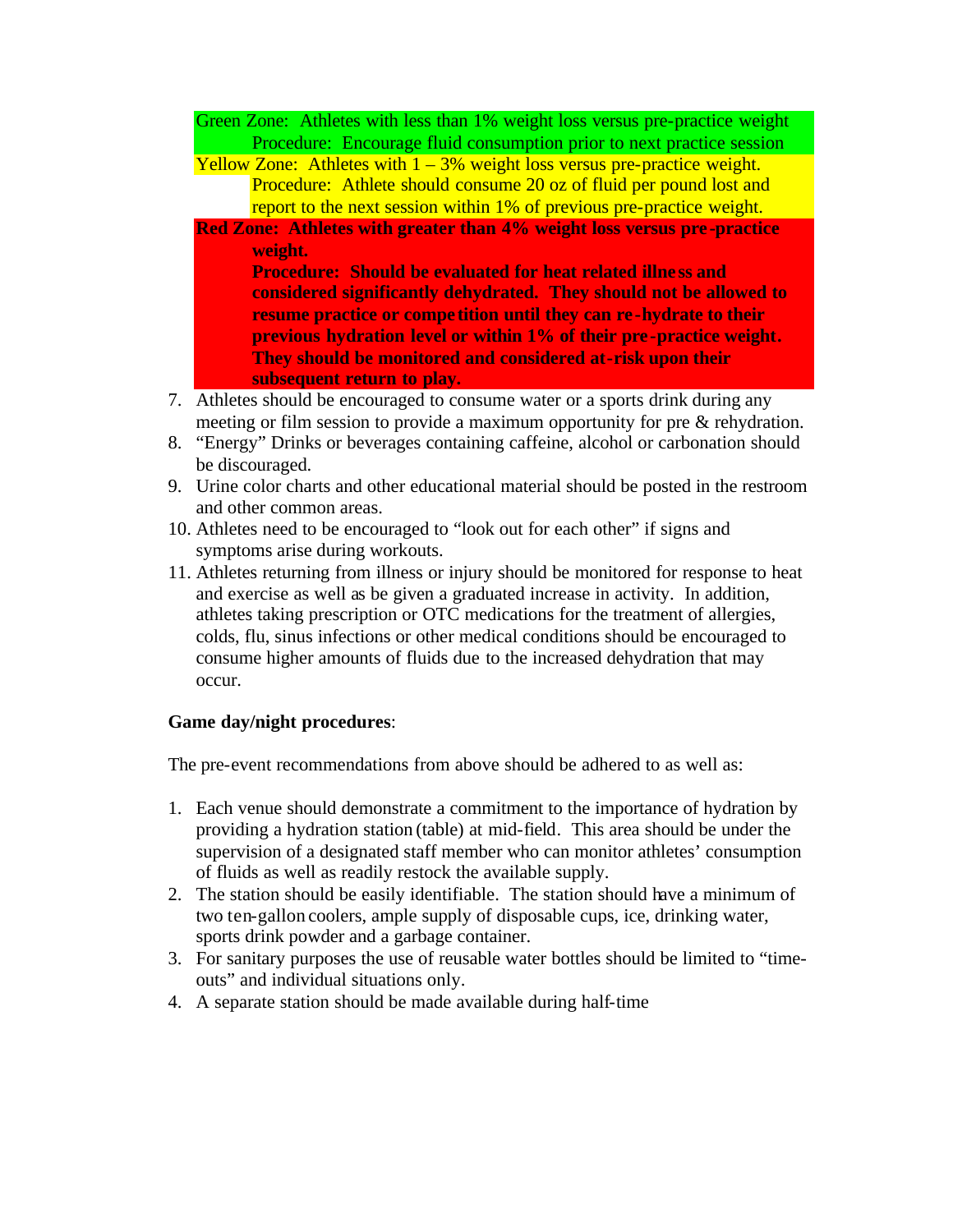- Green Zone: Athletes with less than 1% weight loss versus pre-practice weight Procedure: Encourage fluid consumption prior to next practice session
- Yellow Zone: Athletes with  $1 3%$  weight loss versus pre-practice weight. Procedure: Athlete should consume 20 oz of fluid per pound lost and report to the next session within 1% of previous pre-practice weight.
- **Red Zone: Athletes with greater than 4% weight loss versus pre -practice weight. Procedure: Should be evaluated for heat related illne ss and considered significantly dehydrated. They should not be allowed to**

**resume practice or compe tition until they can re -hydrate to their previous hydration level or within 1% of their pre-practice weight. They should be monitored and considered at-risk upon their subsequent return to play.**

- 7. Athletes should be encouraged to consume water or a sports drink during any meeting or film session to provide a maximum opportunity for pre & rehydration.
- 8. "Energy" Drinks or beverages containing caffeine, alcohol or carbonation should be discouraged.
- 9. Urine color charts and other educational material should be posted in the restroom and other common areas.
- 10. Athletes need to be encouraged to "look out for each other" if signs and symptoms arise during workouts.
- 11. Athletes returning from illness or injury should be monitored for response to heat and exercise as well as be given a graduated increase in activity. In addition, athletes taking prescription or OTC medications for the treatment of allergies, colds, flu, sinus infections or other medical conditions should be encouraged to consume higher amounts of fluids due to the increased dehydration that may occur.

## **Game day/night procedures**:

The pre-event recommendations from above should be adhered to as well as:

- 1. Each venue should demonstrate a commitment to the importance of hydration by providing a hydration station (table) at mid-field. This area should be under the supervision of a designated staff member who can monitor athletes' consumption of fluids as well as readily restock the available supply.
- 2. The station should be easily identifiable. The station should have a minimum of two ten-gallon coolers, ample supply of disposable cups, ice, drinking water, sports drink powder and a garbage container.
- 3. For sanitary purposes the use of reusable water bottles should be limited to "timeouts" and individual situations only.
- 4. A separate station should be made available during half-time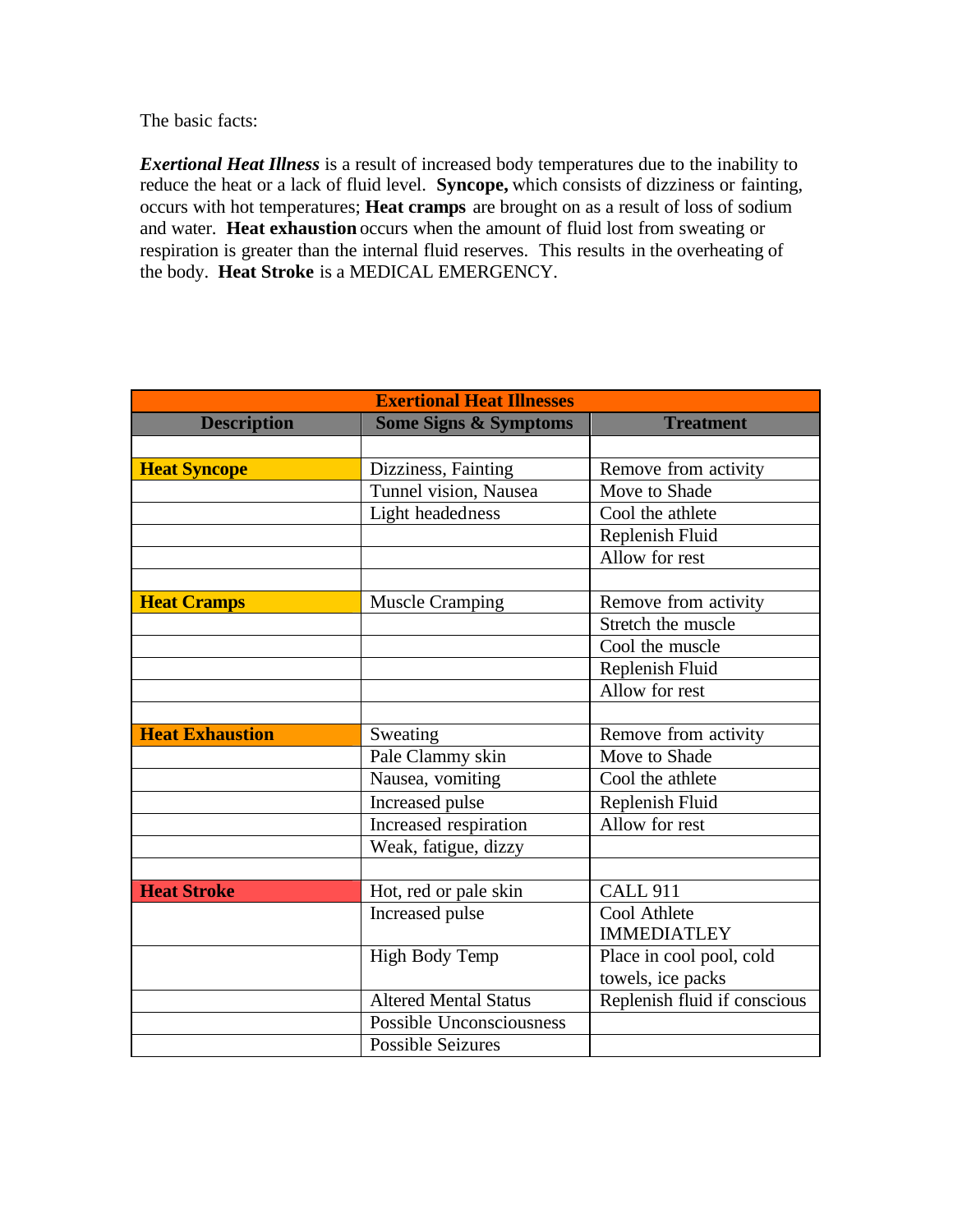The basic facts:

*Exertional Heat Illness* is a result of increased body temperatures due to the inability to reduce the heat or a lack of fluid level. **Syncope,** which consists of dizziness or fainting, occurs with hot temperatures; **Heat cramps** are brought on as a result of loss of sodium and water. **Heat exhaustion** occurs when the amount of fluid lost from sweating or respiration is greater than the internal fluid reserves. This results in the overheating of the body. **Heat Stroke** is a MEDICAL EMERGENCY.

| <b>Exertional Heat Illnesses</b> |                                  |                              |
|----------------------------------|----------------------------------|------------------------------|
| <b>Description</b>               | <b>Some Signs &amp; Symptoms</b> | <b>Treatment</b>             |
|                                  |                                  |                              |
| <b>Heat Syncope</b>              | Dizziness, Fainting              | Remove from activity         |
|                                  | Tunnel vision, Nausea            | Move to Shade                |
|                                  | Light headedness                 | Cool the athlete             |
|                                  |                                  | Replenish Fluid              |
|                                  |                                  | Allow for rest               |
|                                  |                                  |                              |
| <b>Heat Cramps</b>               | <b>Muscle Cramping</b>           | Remove from activity         |
|                                  |                                  | Stretch the muscle           |
|                                  |                                  | Cool the muscle              |
|                                  |                                  | Replenish Fluid              |
|                                  |                                  | Allow for rest               |
|                                  |                                  |                              |
| <b>Heat Exhaustion</b>           | Sweating                         | Remove from activity         |
|                                  | Pale Clammy skin                 | Move to Shade                |
|                                  | Nausea, vomiting                 | Cool the athlete             |
|                                  | Increased pulse                  | Replenish Fluid              |
|                                  | Increased respiration            | Allow for rest               |
|                                  | Weak, fatigue, dizzy             |                              |
|                                  |                                  |                              |
| <b>Heat Stroke</b>               | Hot, red or pale skin            | <b>CALL 911</b>              |
|                                  | Increased pulse                  | Cool Athlete                 |
|                                  |                                  | <b>IMMEDIATLEY</b>           |
|                                  | High Body Temp                   | Place in cool pool, cold     |
|                                  |                                  | towels, ice packs            |
|                                  | <b>Altered Mental Status</b>     | Replenish fluid if conscious |
|                                  | <b>Possible Unconsciousness</b>  |                              |
|                                  | <b>Possible Seizures</b>         |                              |